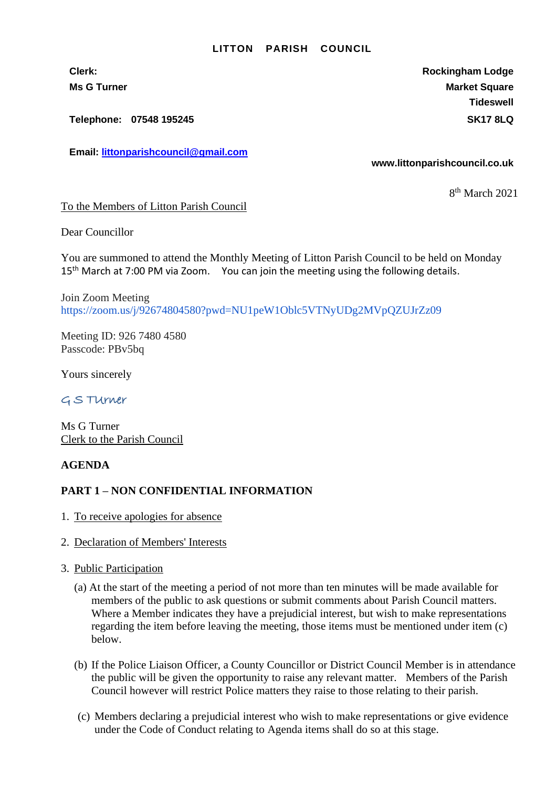#### **LITTON PARISH COUNCIL**

**Clerk: Rockingham Lodge Ms G Turner Market Square** Market Square Market Square Market Square **Tideswell**

**Telephone: 07548 195245 SK17 8LQ**

**Email: [littonparishcouncil@gmail.com](mailto:littonparishcouncil@gmail.com)**

#### **www.littonparishcouncil.co.uk**

8 th March 2021

To the Members of Litton Parish Council

Dear Councillor

You are summoned to attend the Monthly Meeting of Litton Parish Council to be held on Monday 15<sup>th</sup> March at 7:00 PM via Zoom. You can join the meeting using the following details.

Join Zoom Meeting <https://zoom.us/j/92674804580?pwd=NU1peW1Oblc5VTNyUDg2MVpQZUJrZz09>

Meeting ID: 926 7480 4580 Passcode: PBv5bq

Yours sincerely

## G S TUrner

Ms G Turner Clerk to the Parish Council

### **AGENDA**

### **PART 1 – NON CONFIDENTIAL INFORMATION**

- 1. To receive apologies for absence
- 2. Declaration of Members' Interests
- 3. Public Participation
	- (a) At the start of the meeting a period of not more than ten minutes will be made available for members of the public to ask questions or submit comments about Parish Council matters. Where a Member indicates they have a prejudicial interest, but wish to make representations regarding the item before leaving the meeting, those items must be mentioned under item (c) below.
	- (b) If the Police Liaison Officer, a County Councillor or District Council Member is in attendance the public will be given the opportunity to raise any relevant matter. Members of the Parish Council however will restrict Police matters they raise to those relating to their parish.
	- (c) Members declaring a prejudicial interest who wish to make representations or give evidence under the Code of Conduct relating to Agenda items shall do so at this stage.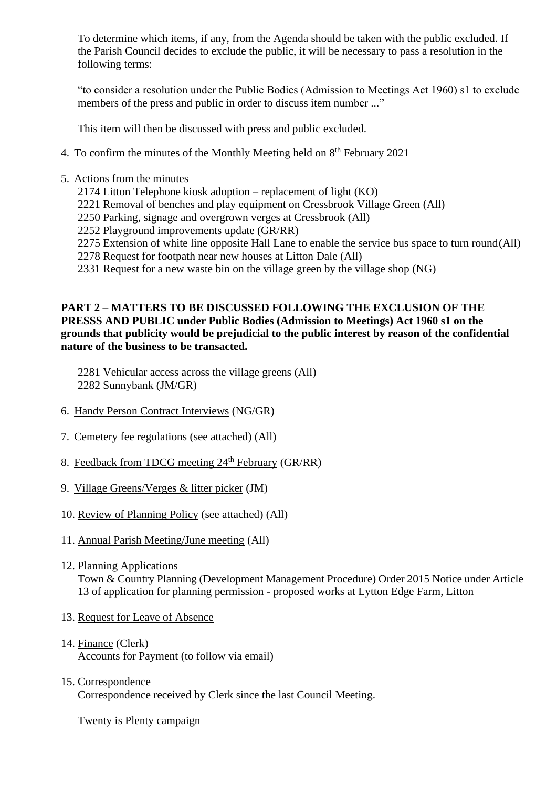To determine which items, if any, from the Agenda should be taken with the public excluded. If the Parish Council decides to exclude the public, it will be necessary to pass a resolution in the following terms:

"to consider a resolution under the Public Bodies (Admission to Meetings Act 1960) s1 to exclude members of the press and public in order to discuss item number ..."

This item will then be discussed with press and public excluded.

- 4. To confirm the minutes of the Monthly Meeting held on 8<sup>th</sup> February 2021
- 5. Actions from the minutes
	- 2174 Litton Telephone kiosk adoption replacement of light (KO)
	- 2221 Removal of benches and play equipment on Cressbrook Village Green (All)
	- 2250 Parking, signage and overgrown verges at Cressbrook (All)
	- 2252 Playground improvements update (GR/RR)
	- 2275 Extension of white line opposite Hall Lane to enable the service bus space to turn round(All)
	- 2278 Request for footpath near new houses at Litton Dale (All)
	- 2331 Request for a new waste bin on the village green by the village shop (NG)

# **PART 2 – MATTERS TO BE DISCUSSED FOLLOWING THE EXCLUSION OF THE PRESSS AND PUBLIC under Public Bodies (Admission to Meetings) Act 1960 s1 on the grounds that publicity would be prejudicial to the public interest by reason of the confidential nature of the business to be transacted.**

2281 Vehicular access across the village greens (All) 2282 Sunnybank (JM/GR)

- 6. Handy Person Contract Interviews (NG/GR)
- 7. Cemetery fee regulations (see attached) (All)
- 8. Feedback from TDCG meeting 24<sup>th</sup> February (GR/RR)
- 9. Village Greens/Verges & litter picker (JM)
- 10. Review of Planning Policy (see attached) (All)
- 11. Annual Parish Meeting/June meeting (All)
- 12. Planning Applications

Town & Country Planning (Development Management Procedure) Order 2015 Notice under Article 13 of application for planning permission - proposed works at Lytton Edge Farm, Litton

- 13. Request for Leave of Absence
- 14. Finance (Clerk) Accounts for Payment (to follow via email)
- 15. Correspondence

Correspondence received by Clerk since the last Council Meeting.

Twenty is Plenty campaign